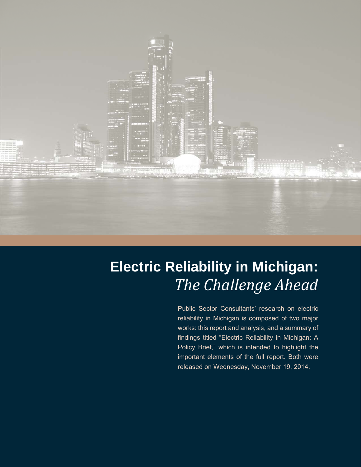

# **Electric Reliability in Michigan:**  *The Challenge Ahead*

Public Sector Consultants' research on electric reliability in Michigan is composed of two major works: this report and analysis, and a summary of findings titled "Electric Reliability in Michigan: A Policy Brief," which is intended to highlight the important elements of the full report. Both were released on Wednesday, November 19, 2014.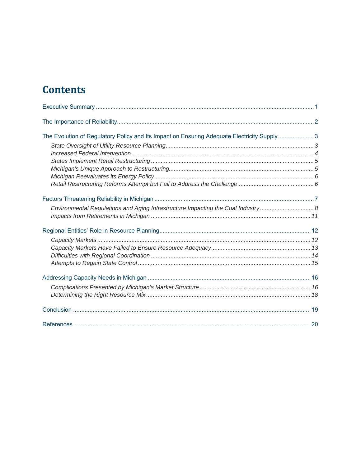# **Contents**

| The Evolution of Regulatory Policy and Its Impact on Ensuring Adequate Electricity Supply3 |  |
|--------------------------------------------------------------------------------------------|--|
|                                                                                            |  |
|                                                                                            |  |
|                                                                                            |  |
|                                                                                            |  |
|                                                                                            |  |
|                                                                                            |  |
|                                                                                            |  |
| Environmental Regulations and Aging Infrastructure Impacting the Coal Industry             |  |
|                                                                                            |  |
|                                                                                            |  |
|                                                                                            |  |
|                                                                                            |  |
|                                                                                            |  |
|                                                                                            |  |
|                                                                                            |  |
|                                                                                            |  |
|                                                                                            |  |
|                                                                                            |  |
|                                                                                            |  |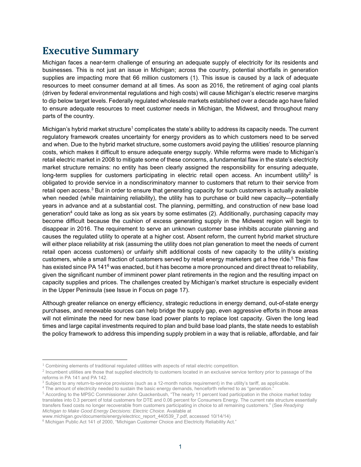# **Executive Summary**

Michigan faces a near-term challenge of ensuring an adequate supply of electricity for its residents and businesses. This is not just an issue in Michigan; across the country, potential shortfalls in generation supplies are impacting more that 66 million customers (1). This issue is caused by a lack of adequate resources to meet consumer demand at all times. As soon as 2016, the retirement of aging coal plants (driven by federal environmental regulations and high costs) will cause Michigan's electric reserve margins to dip below target levels. Federally regulated wholesale markets established over a decade ago have failed to ensure adequate resources to meet customer needs in Michigan, the Midwest, and throughout many parts of the country.

Michigan's hybrid market structure<sup>1</sup> complicates the state's ability to address its capacity needs. The current regulatory framework creates uncertainty for energy providers as to which customers need to be served and when. Due to the hybrid market structure, some customers avoid paying the utilities' resource planning costs, which makes it difficult to ensure adequate energy supply. While reforms were made to Michigan's retail electric market in 2008 to mitigate some of these concerns, a fundamental flaw in the state's electricity market structure remains: no entity has been clearly assigned the responsibility for ensuring adequate, long-term supplies for customers participating in electric retail open access. An incumbent utility<sup>2</sup> is obligated to provide service in a nondiscriminatory manner to customers that return to their service from retail open access.<sup>3</sup> But in order to ensure that generating capacity for such customers is actually available when needed (while maintaining reliability), the utility has to purchase or build new capacity—potentially years in advance and at a substantial cost. The planning, permitting, and construction of new base load generation<sup>4</sup> could take as long as six years by some estimates (2). Additionally, purchasing capacity may become difficult because the cushion of excess generating supply in the Midwest region will begin to disappear in 2016. The requirement to serve an unknown customer base inhibits accurate planning and causes the regulated utility to operate at a higher cost. Absent reform, the current hybrid market structure will either place reliability at risk (assuming the utility does not plan generation to meet the needs of current retail open access customers) or unfairly shift additional costs of new capacity to the utility's existing customers, while a small fraction of customers served by retail energy marketers get a free ride.<sup>5</sup> This flaw has existed since PA 141<sup>6</sup> was enacted, but it has become a more pronounced and direct threat to reliability, given the significant number of imminent power plant retirements in the region and the resulting impact on capacity supplies and prices. The challenges created by Michigan's market structure is especially evident in the Upper Peninsula (see Issue in Focus on page 17).

Although greater reliance on energy efficiency, strategic reductions in energy demand, out-of-state energy purchases, and renewable sources can help bridge the supply gap, even aggressive efforts in those areas will not eliminate the need for new base load power plants to replace lost capacity. Given the long lead times and large capital investments required to plan and build base load plants, the state needs to establish the policy framework to address this impending supply problem in a way that is reliable, affordable, and fair

 $1$  Combining elements of traditional regulated utilities with aspects of retail electric competition.

<sup>&</sup>lt;sup>2</sup> Incumbent utilities are those that supplied electricity to customers located in an exclusive service territory prior to passage of the reforms in PA 141 and PA 142.

<sup>&</sup>lt;sup>3</sup> Subject to any return-to-service provisions (such as a 12-month notice requirement) in the utility's tariff, as applicable.<br><sup>4</sup> The amount of electricity needed to sustain the basic energy demands, benceforth referred

The amount of electricity needed to sustain the basic energy demands, henceforth referred to as "generation."

<sup>5</sup> According to the MPSC Commissioner John Quackenbush, "The nearly 11 percent load participation in the choice market today translates into 0.3 percent of total customers for DTE and 0.06 percent for Consumers Energy. The current rate structure essentially transfers fixed costs no longer recoverable from customers participating in choice to all remaining customers." (See *Readying Michigan to Make Good Energy Decisions: Electric Choice.* Available at

www.michigan.gov/documents/energy/electricc\_report\_440539\_7.pdf, accessed 10/14/14)

<sup>&</sup>lt;sup>6</sup> Michigan Public Act 141 of 2000, "Michigan Customer Choice and Electricity Reliability Act."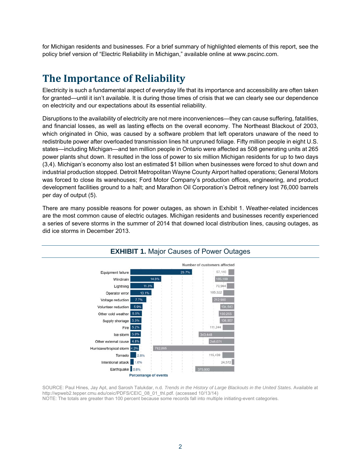for Michigan residents and businesses. For a brief summary of highlighted elements of this report, see the policy brief version of "Electric Reliability in Michigan," available online at www.pscinc.com.

### **The Importance of Reliability**

Electricity is such a fundamental aspect of everyday life that its importance and accessibility are often taken for granted—until it isn't available. It is during those times of crisis that we can clearly see our dependence on electricity and our expectations about its essential reliability.

Disruptions to the availability of electricity are not mere inconveniences—they can cause suffering, fatalities, and financial losses, as well as lasting effects on the overall economy. The Northeast Blackout of 2003, which originated in Ohio, was caused by a software problem that left operators unaware of the need to redistribute power after overloaded transmission lines hit unpruned foliage. Fifty million people in eight U.S. states—including Michigan—and ten million people in Ontario were affected as 508 generating units at 265 power plants shut down. It resulted in the loss of power to six million Michigan residents for up to two days (3,4). Michigan's economy also lost an estimated \$1 billion when businesses were forced to shut down and industrial production stopped. Detroit Metropolitan Wayne County Airport halted operations; General Motors was forced to close its warehouses; Ford Motor Company's production offices, engineering, and product development facilities ground to a halt; and Marathon Oil Corporation's Detroit refinery lost 76,000 barrels per day of output (5).

There are many possible reasons for power outages, as shown in Exhibit 1. Weather-related incidences are the most common cause of electric outages. Michigan residents and businesses recently experienced a series of severe storms in the summer of 2014 that downed local distribution lines, causing outages, as did ice storms in December 2013.



SOURCE: Paul Hines, Jay Apt, and Sarosh Talukdar, n.d. *Trends in the History of Large Blackouts in the United States.* Available at http://wpweb2.tepper.cmu.edu/ceic/PDFS/CEIC\_08\_01\_thl.pdf. (accessed 10/13/14) NOTE: The totals are greater than 100 percent because some records fall into multiple initiating-event categories.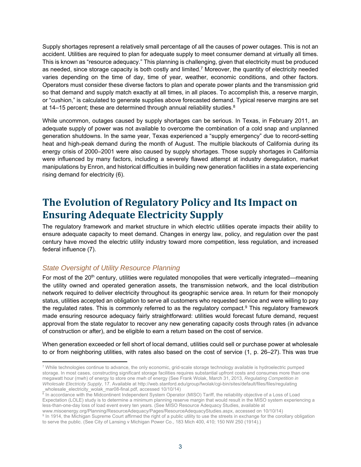Supply shortages represent a relatively small percentage of all the causes of power outages. This is not an accident. Utilities are required to plan for adequate supply to meet consumer demand at virtually all times. This is known as "resource adequacy." This planning is challenging, given that electricity must be produced as needed, since storage capacity is both costly and limited.7 Moreover, the quantity of electricity needed varies depending on the time of day, time of year, weather, economic conditions, and other factors. Operators must consider these diverse factors to plan and operate power plants and the transmission grid so that demand and supply match exactly at all times, in all places. To accomplish this, a reserve margin, or "cushion," is calculated to generate supplies above forecasted demand. Typical reserve margins are set at 14–15 percent; these are determined through annual reliability studies.<sup>8</sup>

While uncommon, outages caused by supply shortages can be serious. In Texas, in February 2011, an adequate supply of power was not available to overcome the combination of a cold snap and unplanned generation shutdowns. In the same year, Texas experienced a "supply emergency" due to record-setting heat and high-peak demand during the month of August. The multiple blackouts of California during its energy crisis of 2000–2001 were also caused by supply shortages. Those supply shortages in California were influenced by many factors, including a severely flawed attempt at industry deregulation, market manipulations by Enron, and historical difficulties in building new generation facilities in a state experiencing rising demand for electricity (6).

# **The Evolution of Regulatory Policy and Its Impact on Ensuring Adequate Electricity Supply**

The regulatory framework and market structure in which electric utilities operate impacts their ability to ensure adequate capacity to meet demand. Changes in energy law, policy, and regulation over the past century have moved the electric utility industry toward more competition, less regulation, and increased federal influence (7).

#### *State Oversight of Utility Resource Planning*

For most of the 20<sup>th</sup> century, utilities were regulated monopolies that were vertically integrated—meaning the utility owned and operated generation assets, the transmission network, and the local distribution network required to deliver electricity throughout its geographic service area. In return for their monopoly status, utilities accepted an obligation to serve all customers who requested service and were willing to pay the regulated rates. This is commonly referred to as the regulatory compact.<sup>9</sup> This regulatory framework made ensuring resource adequacy fairly straightforward: utilities would forecast future demand, request approval from the state regulator to recover any new generating capacity costs through rates (in advance of construction or after), and be eligible to earn a return based on the cost of service.

When generation exceeded or fell short of local demand, utilities could sell or purchase power at wholesale to or from neighboring utilities, with rates also based on the cost of service (1, p. 26–27). This was true

<sup>&</sup>lt;sup>7</sup> While technologies continue to advance, the only economic, grid-scale storage technology available is hydroelectric pumped storage. In most cases, constructing significant storage facilities requires substantial upfront costs and consumes more than one megawatt hour (mwh) of energy to store one mwh of energy (See Frank Wolak, March 31, 2013, *Regulating Competition in Wholesale Electricity Supply*, 17. Available at http://web.stanford.edu/group/fwolak/cgi-bin/sites/default/files/files/regulating

\_wholesale\_electricity\_wolak\_mar08-final.pdf, accessed 10/10/14)<br><sup>8</sup> In accordance with the Midcontinent Independent System Operator (MISO) Tariff, the reliability objective of a Loss of Load Expectation (LOLE) study is to determine a minimum planning reserve margin that would result in the MISO system experiencing a less-than-one-day loss of load event every ten years. (See MISO Resource Adequacy Studies, available at

www.misoenergy.org/Planning/ResourceAdequacy/Pages/ResourceAdequacyStudies.aspx, accessed on 10/10/14) 9 <sup>9</sup> In 1914, the Michigan Supreme Court affirmed the right of a public utility to use the streets in exchange for the corollary obligation to serve the public. (See City of Lansing v Michigan Power Co., 183 Mich 400, 410; 150 NW 250 (1914).)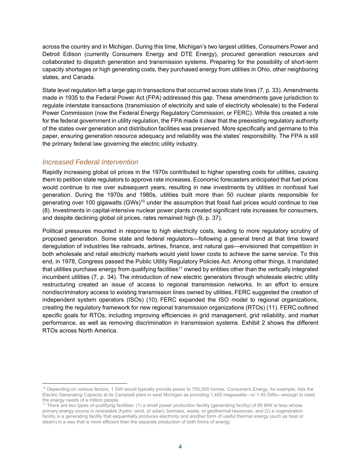across the country and in Michigan. During this time, Michigan's two largest utilities, Consumers Power and Detroit Edison (currently Consumers Energy and DTE Energy), procured generation resources and collaborated to dispatch generation and transmission systems. Preparing for the possibility of short-term capacity shortages or high generating costs, they purchased energy from utilities in Ohio, other neighboring states, and Canada.

State level regulation left a large gap in transactions that occurred across state lines (7, p. 33). Amendments made in 1935 to the Federal Power Act (FPA) addressed this gap. These amendments gave jurisdiction to regulate interstate transactions (transmission of electricity and sale of electricity wholesale) to the Federal Power Commission (now the Federal Energy Regulatory Commission, or FERC). While this created a role for the federal government in utility regulation, the FPA made it clear that the preexisting regulatory authority of the states over generation and distribution facilities was preserved. More specifically and germane to this paper, ensuring generation resource adequacy and reliability was the states' responsibility. The FPA is still the primary federal law governing the electric utility industry.

#### *Increased Federal Intervention*

Rapidly increasing global oil prices in the 1970s contributed to higher operating costs for utilities, causing them to petition state regulators to approve rate increases. Economic forecasters anticipated that fuel prices would continue to rise over subsequent years, resulting in new investments by utilities in nonfossil fuel generation. During the 1970s and 1980s, utilities built more than 50 nuclear plants responsible for generating over 100 gigawatts (GWs)<sup>10</sup> under the assumption that fossil fuel prices would continue to rise (8). Investments in capital-intensive nuclear power plants created significant rate increases for consumers, and despite declining global oil prices, rates remained high (9, p. 37).

Political pressures mounted in response to high electricity costs, leading to more regulatory scrutiny of proposed generation. Some state and federal regulators—following a general trend at that time toward deregulation of industries like railroads, airlines, finance, and natural gas—envisioned that competition in both wholesale and retail electricity markets would yield lower costs to achieve the same service. To this end, in 1978, Congress passed the Public Utility Regulatory Policies Act. Among other things, it mandated that utilities purchase energy from qualifying facilities<sup>11</sup> owned by entities other than the vertically integrated incumbent utilities (7, p. 34). The introduction of new electric generators through wholesale electric utility restructuring created an issue of access to regional transmission networks. In an effort to ensure nondiscriminatory access to existing transmission lines owned by utilities, FERC suggested the creation of independent system operators (ISOs) (10). FERC expanded the ISO model to regional organizations, creating the regulatory framework for new regional transmission organizations (RTOs) (11). FERC outlined specific goals for RTOs, including improving efficiencies in grid management, grid reliability, and market performance, as well as removing discrimination in transmission systems. Exhibit 2 shows the different RTOs across North America.

 <sup>10</sup> Depending on various factors, 1 GW would typically provide power to 750,000 homes. Consumers Energy, for example, lists the Electric Generating Capacity at its Campbell plant in west Michigan as providing 1,450 megawatts—or 1.45 GWs—enough to meet the energy needs of a million people.

<sup>&</sup>lt;sup>11</sup> There are two types of qualifying facilities: (1) a small power production facility (generating facility) of 80 MW or less whose primary energy source is renewable (hydro, wind, or solar), biomass, waste, or geothermal resources, and (2) a cogeneration facility is a generating facility that sequentially produces electricity and another form of useful thermal energy (such as heat or steam) in a way that is more efficient than the separate production of both forms of energy.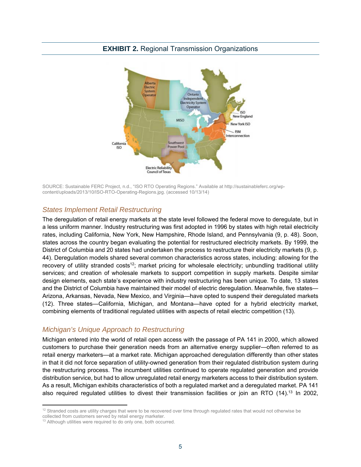

SOURCE: Sustainable FERC Project, n.d., "ISO RTO Operating Regions." Available at http://sustainableferc.org/wpcontent/uploads/2013/10/ISO-RTO-Operating-Regions.jpg. (accessed 10/13/14)

#### *States Implement Retail Restructuring*

The deregulation of retail energy markets at the state level followed the federal move to deregulate, but in a less uniform manner. Industry restructuring was first adopted in 1996 by states with high retail electricity rates, including California, New York, New Hampshire, Rhode Island, and Pennsylvania (9, p. 48). Soon, states across the country began evaluating the potential for restructured electricity markets. By 1999, the District of Columbia and 20 states had undertaken the process to restructure their electricity markets (9, p. 44). Deregulation models shared several common characteristics across states, including: allowing for the recovery of utility stranded costs<sup>12</sup>; market pricing for wholesale electricity; unbundling traditional utility services; and creation of wholesale markets to support competition in supply markets. Despite similar design elements, each state's experience with industry restructuring has been unique. To date, 13 states and the District of Columbia have maintained their model of electric deregulation. Meanwhile, five states— Arizona, Arkansas, Nevada, New Mexico, and Virginia—have opted to suspend their deregulated markets (12). Three states—California, Michigan, and Montana—have opted for a hybrid electricity market, combining elements of traditional regulated utilities with aspects of retail electric competition (13).

#### *Michigan's Unique Approach to Restructuring*

Michigan entered into the world of retail open access with the passage of PA 141 in 2000, which allowed customers to purchase their generation needs from an alternative energy supplier—often referred to as retail energy marketers—at a market rate. Michigan approached deregulation differently than other states in that it did not force separation of utility-owned generation from their regulated distribution system during the restructuring process. The incumbent utilities continued to operate regulated generation and provide distribution service, but had to allow unregulated retail energy marketers access to their distribution system. As a result, Michigan exhibits characteristics of both a regulated market and a deregulated market. PA 141 also required regulated utilities to divest their transmission facilities or join an RTO (14).<sup>13</sup> In 2002,

 $12$  Stranded costs are utility charges that were to be recovered over time through regulated rates that would not otherwise be

collected from customers served by retail energy marketer.

<sup>&</sup>lt;sup>13</sup> Although utilities were required to do only one, both occurred.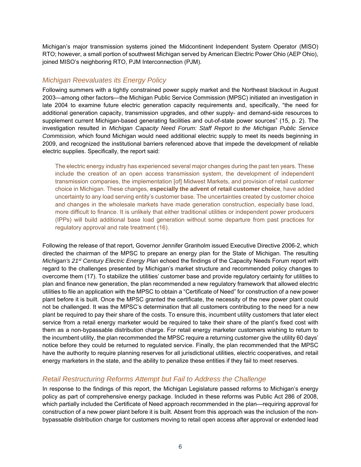Michigan's major transmission systems joined the Midcontinent Independent System Operator (MISO) RTO; however, a small portion of southwest Michigan served by American Electric Power Ohio (AEP Ohio), joined MISO's neighboring RTO, PJM Interconnection (PJM).

#### *Michigan Reevaluates its Energy Policy*

Following summers with a tightly constrained power supply market and the Northeast blackout in August 2003—among other factors—the Michigan Public Service Commission (MPSC) initiated an investigation in late 2004 to examine future electric generation capacity requirements and, specifically, "the need for additional generation capacity, transmission upgrades, and other supply- and demand-side resources to supplement current Michigan-based generating facilities and out-of-state power sources" (15, p. 2). The investigation resulted in *Michigan Capacity Need Forum: Staff Report to the Michigan Public Service Commission,* which found Michigan would need additional electric supply to meet its needs beginning in 2009, and recognized the institutional barriers referenced above that impede the development of reliable electric supplies. Specifically, the report said:

The electric energy industry has experienced several major changes during the past ten years. These include the creation of an open access transmission system, the development of independent transmission companies, the implementation [of] Midwest Markets, and provision of retail customer choice in Michigan. These changes, **especially the advent of retail customer choice**, have added uncertainty to any load serving entity's customer base. The uncertainties created by customer choice and changes in the wholesale markets have made generation construction, especially base load, more difficult to finance. It is unlikely that either traditional utilities or independent power producers (IPPs) will build additional base load generation without some departure from past practices for regulatory approval and rate treatment (16).

Following the release of that report, Governor Jennifer Granholm issued Executive Directive 2006-2, which directed the chairman of the MPSC to prepare an energy plan for the State of Michigan. The resulting *Michigan's 21st Century Electric Energy Plan* echoed the findings of the Capacity Needs Forum report with regard to the challenges presented by Michigan's market structure and recommended policy changes to overcome them (17). To stabilize the utilities' customer base and provide regulatory certainty for utilities to plan and finance new generation, the plan recommended a new regulatory framework that allowed electric utilities to file an application with the MPSC to obtain a "Certificate of Need" for construction of a new power plant before it is built. Once the MPSC granted the certificate, the necessity of the new power plant could not be challenged. It was the MPSC's determination that all customers contributing to the need for a new plant be required to pay their share of the costs. To ensure this, incumbent utility customers that later elect service from a retail energy marketer would be required to take their share of the plant's fixed cost with them as a non-bypassable distribution charge. For retail energy marketer customers wishing to return to the incumbent utility, the plan recommended the MPSC require a returning customer give the utility 60 days' notice before they could be returned to regulated service. Finally, the plan recommended that the MPSC have the authority to require planning reserves for all jurisdictional utilities, electric cooperatives, and retail energy marketers in the state, and the ability to penalize these entities if they fail to meet reserves.

#### *Retail Restructuring Reforms Attempt but Fail to Address the Challenge*

In response to the findings of this report, the Michigan Legislature passed reforms to Michigan's energy policy as part of comprehensive energy package. Included in these reforms was Public Act 286 of 2008, which partially included the Certificate of Need approach recommended in the plan—requiring approval for construction of a new power plant before it is built. Absent from this approach was the inclusion of the nonbypassable distribution charge for customers moving to retail open access after approval or extended lead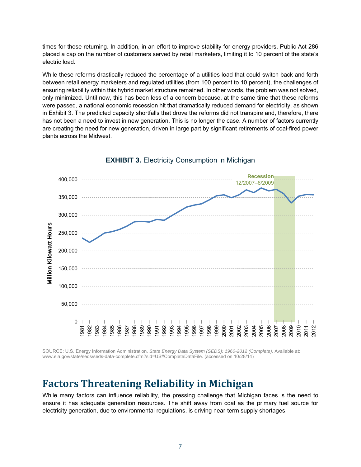times for those returning. In addition, in an effort to improve stability for energy providers, Public Act 286 placed a cap on the number of customers served by retail marketers, limiting it to 10 percent of the state's electric load.

While these reforms drastically reduced the percentage of a utilities load that could switch back and forth between retail energy marketers and regulated utilities (from 100 percent to 10 percent), the challenges of ensuring reliability within this hybrid market structure remained. In other words, the problem was not solved, only minimized. Until now, this has been less of a concern because, at the same time that these reforms were passed, a national economic recession hit that dramatically reduced demand for electricity, as shown in Exhibit 3. The predicted capacity shortfalls that drove the reforms did not transpire and, therefore, there has not been a need to invest in new generation. This is no longer the case. A number of factors currently are creating the need for new generation, driven in large part by significant retirements of coal-fired power plants across the Midwest.



SOURCE: U.S. Energy Information Administration. State Energy Data System (SEDS): 1960-2012 (Complete). Available at: www.eia.gov/state/seds/seds-data-complete.cfm?sid=US#CompleteDataFile. (accessed on 10/28/14)

### **Factors Threatening Reliability in Michigan**

While many factors can influence reliability, the pressing challenge that Michigan faces is the need to ensure it has adequate generation resources. The shift away from coal as the primary fuel source for electricity generation, due to environmental regulations, is driving near-term supply shortages.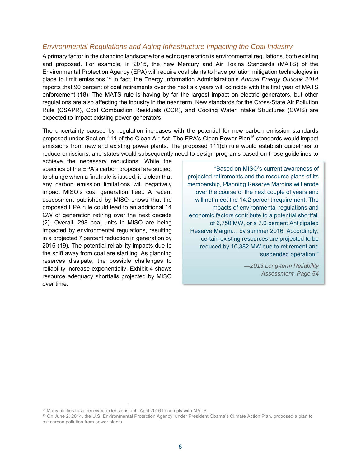#### *Environmental Regulations and Aging Infrastructure Impacting the Coal Industry*

A primary factor in the changing landscape for electric generation is environmental regulations, both existing and proposed. For example, in 2015, the new Mercury and Air Toxins Standards (MATS) of the Environmental Protection Agency (EPA) will require coal plants to have pollution mitigation technologies in place to limit emissions.14 In fact, the Energy Information Administration's *Annual Energy Outlook 2014* reports that 90 percent of coal retirements over the next six years will coincide with the first year of MATS enforcement (18). The MATS rule is having by far the largest impact on electric generators, but other regulations are also affecting the industry in the near term. New standards for the Cross-State Air Pollution Rule (CSAPR), Coal Combustion Residuals (CCR), and Cooling Water Intake Structures (CWIS) are expected to impact existing power generators.

The uncertainty caused by regulation increases with the potential for new carbon emission standards proposed under Section 111 of the Clean Air Act. The EPA's Clean Power Plan<sup>15</sup> standards would impact emissions from new and existing power plants. The proposed 111(d) rule would establish guidelines to reduce emissions, and states would subsequently need to design programs based on those guidelines to

achieve the necessary reductions. While the specifics of the EPA's carbon proposal are subject to change when a final rule is issued, it is clear that any carbon emission limitations will negatively impact MISO's coal generation fleet. A recent assessment published by MISO shows that the proposed EPA rule could lead to an additional 14 GW of generation retiring over the next decade (2). Overall, 298 coal units in MISO are being impacted by environmental regulations, resulting in a projected 7 percent reduction in generation by 2016 (19). The potential reliability impacts due to the shift away from coal are startling. As planning reserves dissipate, the possible challenges to reliability increase exponentially. Exhibit 4 shows resource adequacy shortfalls projected by MISO over time.

"Based on MISO's current awareness of projected retirements and the resource plans of its membership, Planning Reserve Margins will erode over the course of the next couple of years and will not meet the 14.2 percent requirement. The impacts of environmental regulations and economic factors contribute to a potential shortfall of 6,750 MW, or a 7.0 percent Anticipated Reserve Margin… by summer 2016. Accordingly, certain existing resources are projected to be reduced by 10,382 MW due to retirement and suspended operation."

> *—2013 Long-term Reliability Assessment, Page 54*

<sup>&</sup>lt;sup>14</sup> Many utilities have received extensions until April 2016 to comply with MATS.

<sup>15</sup> On June 2, 2014, the U.S. Environmental Protection Agency, under President Obama's Climate Action Plan, proposed a plan to cut carbon pollution from power plants.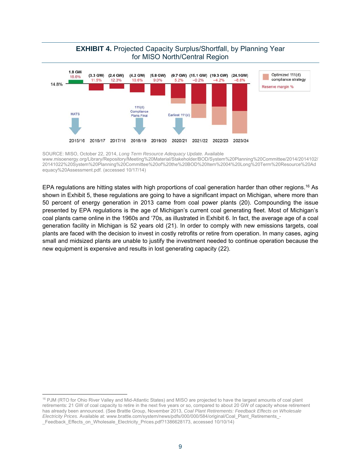

SOURCE: MISO, October 22, 2014, *Long Term Resource Adequacy Update.* Available www.misoenergy.org/Library/Repository/Meeting%20Material/Stakeholder/BOD/System%20Planning%20Committee/2014/2014102/ 20141022%20System%20Planning%20Committee%20of%20the%20BOD%20Item%2004%20Long%20Term%20Resource%20Ad equacy%20Assessment.pdf. (accessed 10/17/14)

EPA regulations are hitting states with high proportions of coal generation harder than other regions.<sup>16</sup> As shown in Exhibit 5, these regulations are going to have a significant impact on Michigan, where more than 50 percent of energy generation in 2013 came from coal power plants (20). Compounding the issue presented by EPA regulations is the age of Michigan's current coal generating fleet. Most of Michigan's coal plants came online in the 1960s and '70s, as illustrated in Exhibit 6. In fact, the average age of a coal generation facility in Michigan is 52 years old (21). In order to comply with new emissions targets, coal plants are faced with the decision to invest in costly retrofits or retire from operation. In many cases, aging small and midsized plants are unable to justify the investment needed to continue operation because the new equipment is expensive and results in lost generating capacity (22).

<sup>&</sup>lt;sup>16</sup> PJM (RTO for Ohio River Valley and Mid-Atlantic States) and MISO are projected to have the largest amounts of coal plant retirements: 21 GW of coal capacity to retire in the next five years or so, compared to about 20 GW of capacity whose retirement has already been announced. (See Brattle Group, November 2013, *Coal Plant Retirements: Feedback Effects on Wholesale Electricity Prices.* Available at: www.brattle.com/system/news/pdfs/000/000/584/original/Coal\_Plant\_Retirements\_- \_Feedback\_Effects\_on\_Wholesale\_Electricity\_Prices.pdf?1386628173, accessed 10/10/14)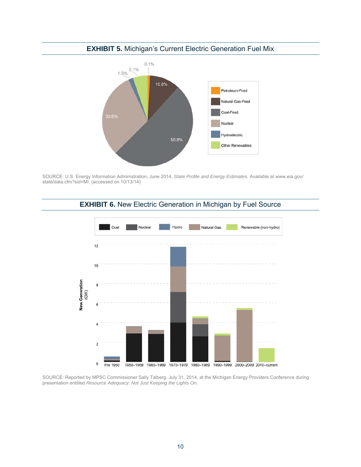

#### **EXHIBIT 5.** Michigan's Current Electric Generation Fuel Mix

SOURCE: U.S. Energy Information Administration, June 2014, *State Profile and Energy Estimates.* Available at www.eia.gov/ state/data.cfm?sid=MI. (accessed on 10/13/14)





SOURCE: Reported by MPSC Commissioner Sally Talberg, July 31, 2014, at the Michigan Energy Providers Conference during presentation entitled *Resource Adequacy: Not Just Keeping the Lights On.*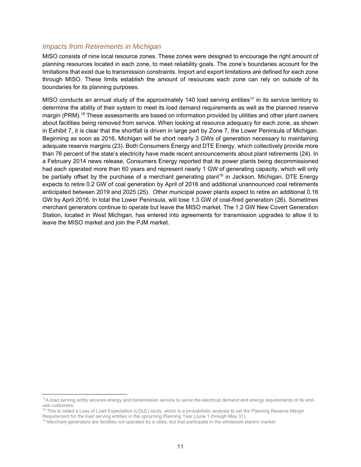#### *Impacts from Retirements in Michigan*

MISO consists of nine local resource zones. These zones were designed to encourage the right amount of planning resources located in each zone, to meet reliability goals. The zone's boundaries account for the limitations that exist due to transmission constraints. Import and export limitations are defined for each zone through MISO. These limits establish the amount of resources each zone can rely on outside of its boundaries for its planning purposes.

MISO conducts an annual study of the approximately 140 load serving entities<sup>17</sup> in its service territory to determine the ability of their system to meet its load demand requirements as well as the planned reserve margin (PRM).<sup>18</sup> These assessments are based on information provided by utilities and other plant owners about facilities being removed from service. When looking at resource adequacy for each zone, as shown in Exhibit 7, it is clear that the shortfall is driven in large part by Zone 7, the Lower Peninsula of Michigan. Beginning as soon as 2016, Michigan will be short nearly 3 GWs of generation necessary to maintaining adequate reserve margins (23). Both Consumers Energy and DTE Energy, which collectively provide more than 76 percent of the state's electricity have made recent announcements about plant retirements (24). In a February 2014 news release, Consumers Energy reported that its power plants being decommissioned had each operated more than 60 years and represent nearly 1 GW of generating capacity, which will only be partially offset by the purchase of a merchant generating plant<sup>19</sup> in Jackson, Michigan. DTE Energy expects to retire 0.2 GW of coal generation by April of 2016 and additional unannounced coal retirements anticipated between 2019 and 2025 (25). Other municipal power plants expect to retire an additional 0.16 GW by April 2016. In total the Lower Peninsula, will lose 1.3 GW of coal-fired generation (26). Sometimes merchant generators continue to operate but leave the MISO market. The 1.2 GW New Covert Generation Station, located in West Michigan, has entered into agreements for transmission upgrades to allow it to leave the MISO market and join the PJM market.

 <sup>17</sup>A load serving entity secures energy and transmission service to serve the electrical demand and energy requirements of its enduse customers.

<sup>&</sup>lt;sup>18</sup> This is called a Loss of Load Expectation (LOLE) study, which is a probabilistic analysis to set the Planning Reserve Margin Reserve Margin Secure of the Blanning Reserve Margin

 $19$  Merchant generators are facilities not operated by a utility, but that participate in the wholesale electric market.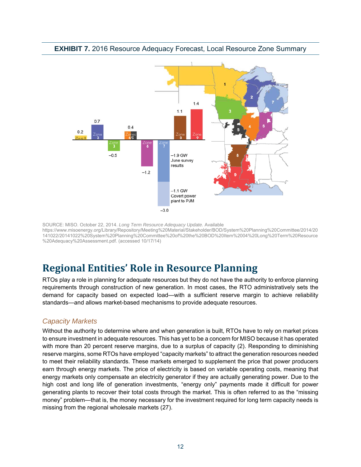

#### **EXHIBIT 7.** 2016 Resource Adequacy Forecast, Local Resource Zone Summary

SOURCE: MISO. October 22, 2014. *Long Term Resource Adequacy Update.* Available https://www.misoenergy.org/Library/Repository/Meeting%20Material/Stakeholder/BOD/System%20Planning%20Committee/2014/20 141022/20141022%20System%20Planning%20Committee%20of%20the%20BOD%20Item%2004%20Long%20Term%20Resource %20Adequacy%20Assessment.pdf. (accessed 10/17/14)

# **Regional Entities' Role in Resource Planning**

RTOs play a role in planning for adequate resources but they do not have the authority to enforce planning requirements through construction of new generation. In most cases, the RTO administratively sets the demand for capacity based on expected load—with a sufficient reserve margin to achieve reliability standards—and allows market-based mechanisms to provide adequate resources.

#### *Capacity Markets*

Without the authority to determine where and when generation is built, RTOs have to rely on market prices to ensure investment in adequate resources. This has yet to be a concern for MISO because it has operated with more than 20 percent reserve margins, due to a surplus of capacity (2). Responding to diminishing reserve margins, some RTOs have employed "capacity markets" to attract the generation resources needed to meet their reliability standards. These markets emerged to supplement the price that power producers earn through energy markets. The price of electricity is based on variable operating costs, meaning that energy markets only compensate an electricity generator if they are actually generating power. Due to the high cost and long life of generation investments, "energy only" payments made it difficult for power generating plants to recover their total costs through the market. This is often referred to as the "missing money" problem—that is, the money necessary for the investment required for long term capacity needs is missing from the regional wholesale markets (27).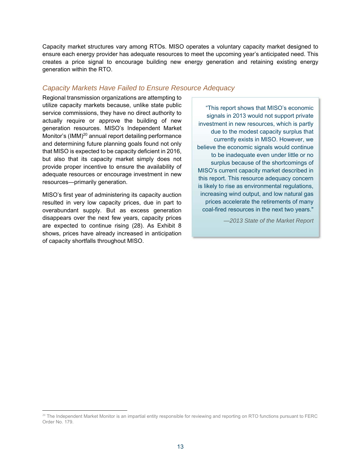Capacity market structures vary among RTOs. MISO operates a voluntary capacity market designed to ensure each energy provider has adequate resources to meet the upcoming year's anticipated need. This creates a price signal to encourage building new energy generation and retaining existing energy generation within the RTO.

#### *Capacity Markets Have Failed to Ensure Resource Adequacy*

Regional transmission organizations are attempting to utilize capacity markets because, unlike state public service commissions, they have no direct authority to actually require or approve the building of new generation resources. MISO's Independent Market Monitor's (IMM)<sup>20</sup> annual report detailing performance and determining future planning goals found not only that MISO is expected to be capacity deficient in 2016, but also that its capacity market simply does not provide proper incentive to ensure the availability of adequate resources or encourage investment in new resources—primarily generation.

MISO's first year of administering its capacity auction resulted in very low capacity prices, due in part to overabundant supply. But as excess generation disappears over the next few years, capacity prices are expected to continue rising (28). As Exhibit 8 shows, prices have already increased in anticipation of capacity shortfalls throughout MISO.

"This report shows that MISO's economic signals in 2013 would not support private investment in new resources, which is partly due to the modest capacity surplus that currently exists in MISO. However, we believe the economic signals would continue to be inadequate even under little or no surplus because of the shortcomings of MISO's current capacity market described in this report. This resource adequacy concern is likely to rise as environmental regulations, increasing wind output, and low natural gas prices accelerate the retirements of many coal-fired resources in the next two years."

*—2013 State of the Market Report* 

 $20$  The Independent Market Monitor is an impartial entity responsible for reviewing and reporting on RTO functions pursuant to FERC Order No. 179.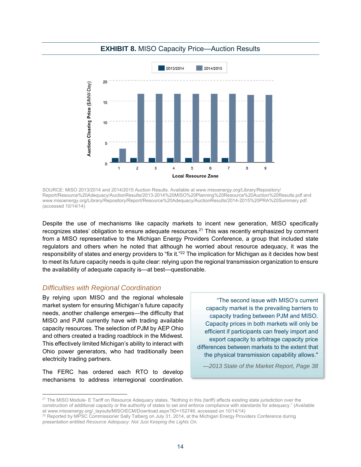

#### **EXHIBIT 8.** MISO Capacity Price—Auction Results

SOURCE: MISO 2013/2014 and 2014/2015 Auction Results. Available at www.misoenergy.org/Library/Repository/ Report/Resource%20Adequacy/AuctionResults/2013-2014%20MISO%20Planning%20Resource%20Auction%20Results.pdf and www.misoenergy.org/Library/Repository/Report/Resource%20Adequacy/AuctionResults/2014-2015%20PRA%20Summary.pdf. (accessed 10/14/14)

Despite the use of mechanisms like capacity markets to incent new generation, MISO specifically recognizes states' obligation to ensure adequate resources.<sup>21</sup> This was recently emphasized by comment from a MISO representative to the Michigan Energy Providers Conference, a group that included state regulators and others when he noted that although he worried about resource adequacy, it was the responsibility of states and energy providers to "fix it."<sup>22</sup> The implication for Michigan as it decides how best to meet its future capacity needs is quite clear: relying upon the regional transmission organization to ensure the availability of adequate capacity is—at best—questionable.

#### *Difficulties with Regional Coordination*

By relying upon MISO and the regional wholesale market system for ensuring Michigan's future capacity needs, another challenge emerges—the difficulty that MISO and PJM currently have with trading available capacity resources. The selection of PJM by AEP Ohio and others created a trading roadblock in the Midwest. This effectively limited Michigan's ability to interact with Ohio power generators, who had traditionally been electricity trading partners.

The FERC has ordered each RTO to develop mechanisms to address interregional coordination.

"The second issue with MISO's current capacity market is the prevailing barriers to capacity trading between PJM and MISO. Capacity prices in both markets will only be efficient if participants can freely import and export capacity to arbitrage capacity price differences between markets to the extent that the physical transmission capability allows."

*—2013 State of the Market Report, Page 38* 

<sup>&</sup>lt;sup>21</sup> The MISO Module- E Tariff on Resource Adequacy states, "Nothing in this (tariff) affects existing state jurisdiction over the construction of additional capacity or the authority of states to set and enforce compliance with standards for adequacy." (Available

at www.misoenergy.org/\_layouts/MISO/ECM/Download.aspx?ID=152746, accessed on 10/14/14)<br><sup>22</sup> Reported by MPSC Commissioner Sally Talberg on July 31, 2014, at the Michigan Energy Providers Conference during presentation entitled *Resource Adequacy: Not Just Keeping the Lights On.*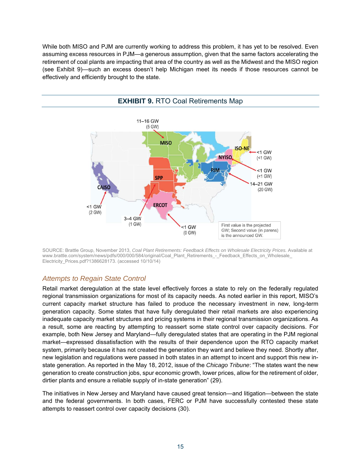While both MISO and PJM are currently working to address this problem, it has yet to be resolved. Even assuming excess resources in PJM—a generous assumption, given that the same factors accelerating the retirement of coal plants are impacting that area of the country as well as the Midwest and the MISO region (see Exhibit 9)—such an excess doesn't help Michigan meet its needs if those resources cannot be effectively and efficiently brought to the state.



SOURCE: Brattle Group, November 2013, *Coal Plant Retirements: Feedback Effects on Wholesale Electricity Prices.* Available at www.brattle.com/system/news/pdfs/000/000/584/original/Coal\_Plant\_Retirements\_-\_Feedback\_Effects\_on\_Wholesale\_ Electricity\_Prices.pdf?1386628173. (accessed 10/10/14)

#### *Attempts to Regain State Control*

Retail market deregulation at the state level effectively forces a state to rely on the federally regulated regional transmission organizations for most of its capacity needs. As noted earlier in this report, MISO's current capacity market structure has failed to produce the necessary investment in new, long-term generation capacity. Some states that have fully deregulated their retail markets are also experiencing inadequate capacity market structures and pricing systems in their regional transmission organizations. As a result, some are reacting by attempting to reassert some state control over capacity decisions. For example, both New Jersey and Maryland—fully deregulated states that are operating in the PJM regional market—expressed dissatisfaction with the results of their dependence upon the RTO capacity market system, primarily because it has not created the generation they want and believe they need. Shortly after, new legislation and regulations were passed in both states in an attempt to incent and support this new instate generation. As reported in the May 18, 2012, issue of the *Chicago Tribune*: "The states want the new generation to create construction jobs, spur economic growth, lower prices, allow for the retirement of older, dirtier plants and ensure a reliable supply of in-state generation" (29).

The initiatives in New Jersey and Maryland have caused great tension—and litigation—between the state and the federal governments. In both cases, FERC or PJM have successfully contested these state attempts to reassert control over capacity decisions (30).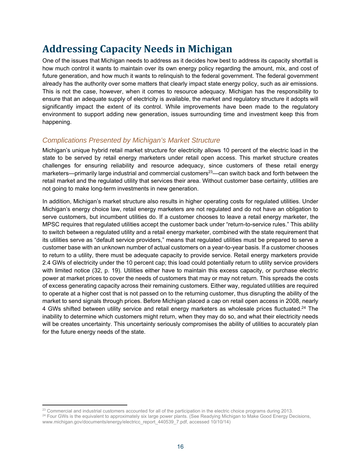# **Addressing Capacity Needs in Michigan**

One of the issues that Michigan needs to address as it decides how best to address its capacity shortfall is how much control it wants to maintain over its own energy policy regarding the amount, mix, and cost of future generation, and how much it wants to relinquish to the federal government. The federal government already has the authority over some matters that clearly impact state energy policy, such as air emissions. This is not the case, however, when it comes to resource adequacy. Michigan has the responsibility to ensure that an adequate supply of electricity is available, the market and regulatory structure it adopts will significantly impact the extent of its control. While improvements have been made to the regulatory environment to support adding new generation, issues surrounding time and investment keep this from happening.

#### *Complications Presented by Michigan's Market Structure*

Michigan's unique hybrid retail market structure for electricity allows 10 percent of the electric load in the state to be served by retail energy marketers under retail open access. This market structure creates challenges for ensuring reliability and resource adequacy, since customers of these retail energy marketers—primarily large industrial and commercial customers<sup>23</sup>—can switch back and forth between the retail market and the regulated utility that services their area. Without customer base certainty, utilities are not going to make long-term investments in new generation.

In addition, Michigan's market structure also results in higher operating costs for regulated utilities. Under Michigan's energy choice law, retail energy marketers are not regulated and do not have an obligation to serve customers, but incumbent utilities do. If a customer chooses to leave a retail energy marketer, the MPSC requires that regulated utilities accept the customer back under "return-to-service rules." This ability to switch between a regulated utility and a retail energy marketer, combined with the state requirement that its utilities serve as "default service providers," means that regulated utilities must be prepared to serve a customer base with an unknown number of actual customers on a year-to-year basis. If a customer chooses to return to a utility, there must be adequate capacity to provide service. Retail energy marketers provide 2.4 GWs of electricity under the 10 percent cap; this load could potentially return to utility service providers with limited notice (32, p. 19). Utilities either have to maintain this excess capacity, or purchase electric power at market prices to cover the needs of customers that may or may not return. This spreads the costs of excess generating capacity across their remaining customers. Either way, regulated utilities are required to operate at a higher cost that is not passed on to the returning customer, thus disrupting the ability of the market to send signals through prices. Before Michigan placed a cap on retail open access in 2008, nearly 4 GWs shifted between utility service and retail energy marketers as wholesale prices fluctuated.<sup>24</sup> The inability to determine which customers might return, when they may do so, and what their electricity needs will be creates uncertainty. This uncertainty seriously compromises the ability of utilities to accurately plan for the future energy needs of the state.

<sup>&</sup>lt;sup>23</sup> Commercial and industrial customers accounted for all of the participation in the electric choice programs during 2013.<br><sup>24</sup> Four GWs is the equivalent to approximately six large power plants. (See Readying Michigan t www.michigan.gov/documents/energy/electricc\_report\_440539\_7.pdf, accessed 10/10/14)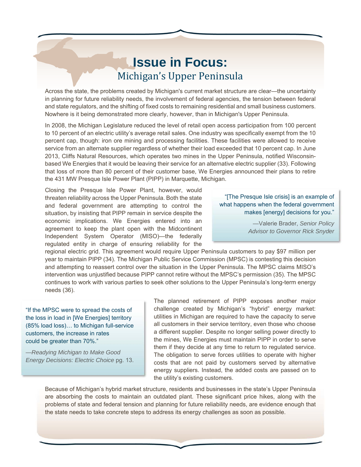# **Issue in Focus:** Michigan's Upper Peninsula

Across the state, the problems created by Michigan's current market structure are clear—the uncertainty in planning for future reliability needs, the involvement of federal agencies, the tension between federal and state regulators, and the shifting of fixed costs to remaining residential and small business customers. Nowhere is it being demonstrated more clearly, however, than in Michigan's Upper Peninsula.

In 2008, the Michigan Legislature reduced the level of retail open access participation from 100 percent to 10 percent of an electric utility's average retail sales. One industry was specifically exempt from the 10 percent cap, though: iron ore mining and processing facilities. These facilities were allowed to receive service from an alternate supplier regardless of whether their load exceeded that 10 percent cap. In June 2013, Cliffs Natural Resources, which operates two mines in the Upper Peninsula, notified Wisconsinbased We Energies that it would be leaving their service for an alternative electric supplier (33). Following that loss of more than 80 percent of their customer base, We Energies announced their plans to retire the 431 MW Presque Isle Power Plant (PIPP) in Marquette, Michigan.

Closing the Presque Isle Power Plant, however, would threaten reliability across the Upper Peninsula. Both the state and federal government are attempting to control the situation, by insisting that PIPP remain in service despite the economic implications. We Energies entered into an agreement to keep the plant open with the Midcontinent Independent System Operator (MISO)—the federally regulated entity in charge of ensuring reliability for the

"[The Presque Isle crisis] is an example of what happens when the federal government makes [energy] decisions for you."

> *—*Valerie Brader, *Senior Policy Advisor to Governor Rick Snyder*

regional electric grid. This agreement would require Upper Peninsula customers to pay \$97 million per year to maintain PIPP (34). The Michigan Public Service Commission (MPSC) is contesting this decision and attempting to reassert control over the situation in the Upper Peninsula. The MPSC claims MISO's intervention was unjustified because PIPP cannot retire without the MPSC's permission (35). The MPSC continues to work with various parties to seek other solutions to the Upper Peninsula's long-term energy needs (36).

"If the MPSC were to spread the costs of the loss in load in [We Energies] territory (85% load loss)… to Michigan full-service customers, the increase in rates could be greater than 70%."

*—Readying Michigan to Make Good Energy Decisions: Electric Choice* pg. 13.

The planned retirement of PIPP exposes another major challenge created by Michigan's "hybrid" energy market: utilities in Michigan are required to have the capacity to serve all customers in their service territory, even those who choose a different supplier. Despite no longer selling power directly to the mines, We Energies must maintain PIPP in order to serve them if they decide at any time to return to regulated service. The obligation to serve forces utilities to operate with higher costs that are not paid by customers served by alternative energy suppliers. Instead, the added costs are passed on to the utility's existing customers.

Because of Michigan's hybrid market structure, residents and businesses in the state's Upper Peninsula are absorbing the costs to maintain an outdated plant. These significant price hikes, along with the problems of state and federal tension and planning for future reliability needs, are evidence enough that the state needs to take concrete steps to address its energy challenges as soon as possible.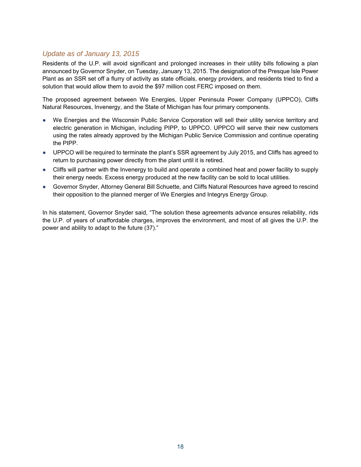#### *Update as of January 13, 2015*

Residents of the U.P. will avoid significant and prolonged increases in their utility bills following a plan announced by Governor Snyder, on Tuesday, January 13, 2015. The designation of the Presque Isle Power Plant as an SSR set off a flurry of activity as state officials, energy providers, and residents tried to find a solution that would allow them to avoid the \$97 million cost FERC imposed on them.

The proposed agreement between We Energies, Upper Peninsula Power Company (UPPCO), Cliffs Natural Resources, Invenergy, and the State of Michigan has four primary components.

- We Energies and the Wisconsin Public Service Corporation will sell their utility service territory and electric generation in Michigan, including PIPP, to UPPCO. UPPCO will serve their new customers using the rates already approved by the Michigan Public Service Commission and continue operating the PIPP.
- UPPCO will be required to terminate the plant's SSR agreement by July 2015, and Cliffs has agreed to return to purchasing power directly from the plant until it is retired.
- Cliffs will partner with the Invenergy to build and operate a combined heat and power facility to supply their energy needs. Excess energy produced at the new facility can be sold to local utilities.
- Governor Snyder, Attorney General Bill Schuette, and Cliffs Natural Resources have agreed to rescind their opposition to the planned merger of We Energies and Integrys Energy Group.

In his statement, Governor Snyder said, "The solution these agreements advance ensures reliability, rids the U.P. of years of unaffordable charges, improves the environment, and most of all gives the U.P. the power and ability to adapt to the future (37)."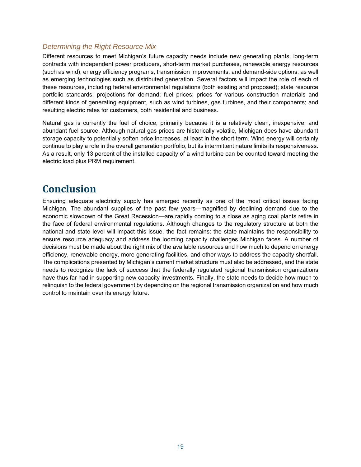#### *Determining the Right Resource Mix*

Different resources to meet Michigan's future capacity needs include new generating plants, long-term contracts with independent power producers, short-term market purchases, renewable energy resources (such as wind), energy efficiency programs, transmission improvements, and demand-side options, as well as emerging technologies such as distributed generation. Several factors will impact the role of each of these resources, including federal environmental regulations (both existing and proposed); state resource portfolio standards; projections for demand; fuel prices; prices for various construction materials and different kinds of generating equipment, such as wind turbines, gas turbines, and their components; and resulting electric rates for customers, both residential and business.

Natural gas is currently the fuel of choice, primarily because it is a relatively clean, inexpensive, and abundant fuel source. Although natural gas prices are historically volatile, Michigan does have abundant storage capacity to potentially soften price increases, at least in the short term. Wind energy will certainly continue to play a role in the overall generation portfolio, but its intermittent nature limits its responsiveness. As a result, only 13 percent of the installed capacity of a wind turbine can be counted toward meeting the electric load plus PRM requirement.

### **Conclusion**

Ensuring adequate electricity supply has emerged recently as one of the most critical issues facing Michigan. The abundant supplies of the past few years—magnified by declining demand due to the economic slowdown of the Great Recession—are rapidly coming to a close as aging coal plants retire in the face of federal environmental regulations. Although changes to the regulatory structure at both the national and state level will impact this issue, the fact remains: the state maintains the responsibility to ensure resource adequacy and address the looming capacity challenges Michigan faces. A number of decisions must be made about the right mix of the available resources and how much to depend on energy efficiency, renewable energy, more generating facilities, and other ways to address the capacity shortfall. The complications presented by Michigan's current market structure must also be addressed, and the state needs to recognize the lack of success that the federally regulated regional transmission organizations have thus far had in supporting new capacity investments. Finally, the state needs to decide how much to relinquish to the federal government by depending on the regional transmission organization and how much control to maintain over its energy future.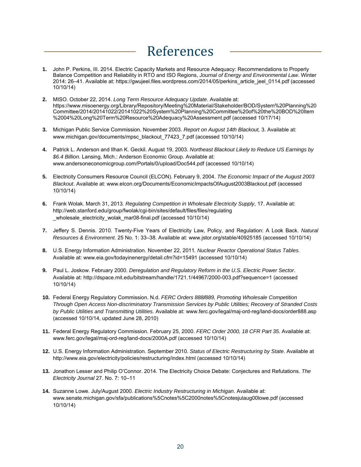# References

- **1.** John P. Perkins, III. 2014. Electric Capacity Markets and Resource Adequacy: Recommendations to Properly Balance Competition and Reliability in RTO and ISO Regions, *Journal of Energy and Environmental Law*. Winter 2014: 26–41. Available at: https://gwujeel.files.wordpress.com/2014/05/perkins\_article\_jeel\_0114.pdf (accessed 10/10/14)
- **2.** MISO. October 22, 2014. *Long Term Resource Adequacy Update*. Available at: https://www.misoenergy.org/Library/Repository/Meeting%20Material/Stakeholder/BOD/System%20Planning%20 Committee/2014/20141022/20141022%20System%20Planning%20Committee%20of%20the%20BOD%20Item %2004%20Long%20Term%20Resource%20Adequacy%20Assessment.pdf (accessed 10/17/14)
- **3.** Michigan Public Service Commission. November 2003. *Report on August 14th Blackout,* 3. Available at: www.michigan.gov/documents/mpsc\_blackout\_77423\_7.pdf (accessed 10/10/14)
- **4.** Patrick L. Anderson and Ilhan K. Geckil. August 19, 2003. *Northeast Blackout Likely to Reduce US Earnings by \$6.4 Billion*. Lansing, Mich.: Anderson Economic Group. Available at: www.andersoneconomicgroup.com/Portals/0/upload/Doc544.pdf (accessed 10/10/14)
- **5.** Electricity Consumers Resource Council (ELCON). February 9, 2004. *The Economic Impact of the August 2003 Blackout*. Available at: www.elcon.org/Documents/EconomicImpactsOfAugust2003Blackout.pdf (accessed 10/10/14)
- **6.** Frank Wolak. March 31, 2013*. Regulating Competition in Wholesale Electricity Supply*, 17. Available at: http://web.stanford.edu/group/fwolak/cgi-bin/sites/default/files/files/regulating wholesale electricity wolak mar08-final.pdf (accessed 10/10/14)
- **7.** Jeffery S. Dennis. 2010. Twenty-Five Years of Electricity Law, Policy, and Regulation: A Look Back. *Natural Resources & Environment.* 25 No. 1: 33–38. Available at: www.jstor.org/stable/40925185 (accessed 10/10/14)
- **8.** U.S. Energy Information Administration. November 22, 2011*. Nuclear Reactor Operational Status Tables.* Available at: www.eia.gov/todayinenergy/detail.cfm?id=15491 (accessed 10/10/14)
- **9.** Paul L. Joskow. February 2000. *Deregulation and Regulatory Reform in the U.S. Electric Power Sector*. Available at: http://dspace.mit.edu/bitstream/handle/1721.1/44967/2000-003.pdf?sequence=1 (accessed 10/10/14)
- **10.** Federal Energy Regulatory Commission. N.d. *FERC Orders 888/889, Promoting Wholesale Competition Through Open Access Non-discriminatory Transmission Services by Public Utilities; Recovery of Stranded Costs by Public Utilities and Transmitting Utilities.* Available at: www.ferc.gov/legal/maj-ord-reg/land-docs/order888.asp (accessed 10/10/14, updated June 28, 2010)
- **11.** Federal Energy Regulatory Commission. February 25, 2000. *FERC Order 2000, 18 CFR Part 35*. Available at: www.ferc.gov/legal/maj-ord-reg/land-docs/2000A.pdf (accessed 10/10/14)
- **12.** U.S. Energy Information Administration. September 2010. *Status of Electric Restructuring by State*. Available at http://www.eia.gov/electricity/policies/restructuring/index.html (accessed 10/10/14)
- **13.** Jonathon Lesser and Philip O'Connor. 2014. The Electricity Choice Debate: Conjectures and Refutations. *The Electricity Journal* 27. No. 7: 10–11
- **14.** Suzanne Lowe. July/August 2000. *Electric Industry Restructuring in Michigan*. Available at: www.senate.michigan.gov/sfa/publications%5Cnotes%5C2000notes%5Cnotesjulaug00lowe.pdf (accessed 10/10/14)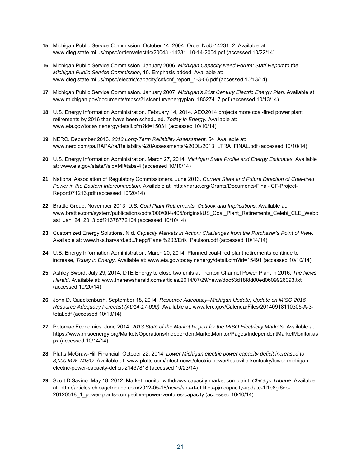- **15.** Michigan Public Service Commission. October 14, 2004. Order NoU-14231. 2. Available at: www.dleg.state.mi.us/mpsc/orders/electric/2004/u-14231\_10-14-2004.pdf (accessed 10/22/14)
- **16.** Michigan Public Service Commission. January 2006*. Michigan Capacity Need Forum: Staff Report to the Michigan Public Service Commission*, 10. Emphasis added. Available at: www.dleg.state.mi.us/mpsc/electric/capacity/cnf/cnf\_report\_1-3-06.pdf (accessed 10/13/14)
- **17.** Michigan Public Service Commission. January 2007. *Michigan's 21st Century Electric Energy Plan*. Available at: www.michigan.gov/documents/mpsc/21stcenturyenergyplan\_185274\_7.pdf (accessed 10/13/14)
- **18.** U.S. Energy Information Administration. February 14, 2014. AEO2014 projects more coal-fired power plant retirements by 2016 than have been scheduled. *Today in Energy.* Available at: www.eia.gov/todayinenergy/detail.cfm?id=15031 (accessed 10/10/14)
- **19.** NERC. December 2013. *2013 Long-Term Reliability Assessment*, 54. Available at: www.nerc.com/pa/RAPA/ra/Reliability%20Assessments%20DL/2013\_LTRA\_FINAL.pdf (accessed 10/10/14)
- **20.** U.S. Energy Information Administration. March 27, 2014. *Michigan State Profile and Energy Estimates*. Available at: www.eia.gov/state/?sid=MI#tabs-4 (accessed 10/10/14)
- **21.** National Association of Regulatory Commissioners. June 2013. *Current State and Future Direction of Coal-fired Power in the Eastern Interconnection*. Available at: http://naruc.org/Grants/Documents/Final-ICF-Project-Report071213.pdf (accessed 10/20/14)
- **22.** Brattle Group. November 2013. *U.S. Coal Plant Retirements: Outlook and Implications*. Available at: www.brattle.com/system/publications/pdfs/000/004/405/original/US\_Coal\_Plant\_Retirements\_Celebi\_CLE\_Webc ast\_Jan\_24\_2013.pdf?1378772104 (accessed 10/10/14)
- **23.** Customized Energy Solutions. N.d. *Capacity Markets in Action: Challenges from the Purchaser's Point of View*. Available at: www.hks.harvard.edu/hepg/Panel%203/Erik\_Paulson.pdf (accessed 10/14/14)
- **24.** U.S. Energy Information Administration. March 20, 2014. Planned coal-fired plant retirements continue to increase, *Today in Energy*. Available at: www.eia.gov/todayinenergy/detail.cfm?id=15491 (accessed 10/10/14)
- **25.** Ashley Sword. July 29, 2014. DTE Energy to close two units at Trenton Channel Power Plant in 2016. *The News Herald*. Available at: www.thenewsherald.com/articles/2014/07/29/news/doc53d18f8d00ed0609926093.txt (accessed 10/20/14)
- **26.** John D. Quackenbush. September 18, 2014. *Resource Adequacy–Michigan Update, Update on MISO 2016 Resource Adequacy Forecast (AD14-17-000).* Available at: www.ferc.gov/CalendarFiles/20140918110305-A-3 total.pdf (accessed 10/13/14)
- **27.** Potomac Economics. June 2014. *2013 State of the Market Report for the MISO Electricity Markets*. Available at: https://www.misoenergy.org/MarketsOperations/IndependentMarketMonitor/Pages/IndependentMarketMonitor.as px (accessed 10/14/14)
- **28.** Platts McGraw-Hill Financial. October 22, 2014. *Lower Michigan electric power capacity deficit increased to 3,000 MW: MISO*. Available at: www.platts.com/latest-news/electric-power/louisville-kentucky/lower-michiganelectric-power-capacity-deficit-21437818 (accessed 10/23/14)
- **29.** Scott DiSavino. May 18, 2012. Market monitor withdraws capacity market complaint. *Chicago Tribune.* Available at: http://articles.chicagotribune.com/2012-05-18/news/sns-rt-utilities-pjmcapacity-update-1l1e8gi6qc-20120518\_1\_power-plants-competitive-power-ventures-capacity (accessed 10/10/14)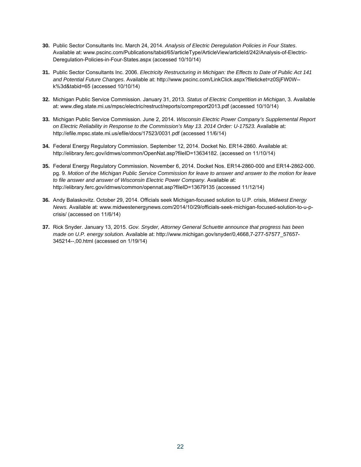- **30.** Public Sector Consultants Inc. March 24, 2014. *Analysis of Electric Deregulation Policies in Four States*. Available at: www.pscinc.com/Publications/tabid/65/articleType/ArticleView/articleId/242/Analysis-of-Electric-Deregulation-Policies-in-Four-States.aspx (accessed 10/10/14)
- **31.** Public Sector Consultants Inc. 2006. *Electricity Restructuring in Michigan: the Effects to Date of Public Act 141 and Potential Future Changes*. Available at: http://www.pscinc.com/LinkClick.aspx?fileticket=z0SjFW0W- k%3d&tabid=65 (accessed 10/10/14)
- **32.** Michigan Public Service Commission. January 31, 2013. *Status of Electric Competition in Michigan*, 3. Available at: www.dleg.state.mi.us/mpsc/electric/restruct/reports/compreport2013.pdf (accessed 10/10/14)
- **33.** Michigan Public Service Commission. June 2, 2014. *Wisconsin Electric Power Company's Supplemental Report on Electric Reliability in Response to the Commission's May 13. 2014 Order: U-17523.* Available at: http://efile.mpsc.state.mi.us/efile/docs/17523/0031.pdf (accessed 11/6/14)
- **34.** Federal Energy Regulatory Commission. September 12, 2014. Docket No. ER14-2860. Available at: http://elibrary.ferc.gov/idmws/common/OpenNat.asp?fileID=13634182. (accessed on 11/10/14)
- **35.** Federal Energy Regulatory Commission. November 6, 2014. Docket Nos. ER14-2860-000 and ER14-2862-000. pg. 9. *Motion of the Michigan Public Service Commission for leave to answer and answer to the motion for leave to file answer and answer of Wisconsin Electric Power Company*. Available at: http://elibrary.ferc.gov/idmws/common/opennat.asp?fileID=13679135 (accessed 11/12/14)
- **36.** Andy Balaskovitz. October 29, 2014. Officials seek Michigan-focused solution to U.P. crisis, *Midwest Energy News.* Available at: www.midwestenergynews.com/2014/10/29/officials-seek-michigan-focused-solution-to-u-pcrisis/ (accessed on 11/6/14)
- **37.** Rick Snyder. January 13, 2015. *Gov. Snyder, Attorney General Schuette announce that progress has been made on U.P. energy solution.* Available at: http://www.michigan.gov/snyder/0,4668,7-277-57577\_57657- 345214--,00.html (accessed on 1/19/14)